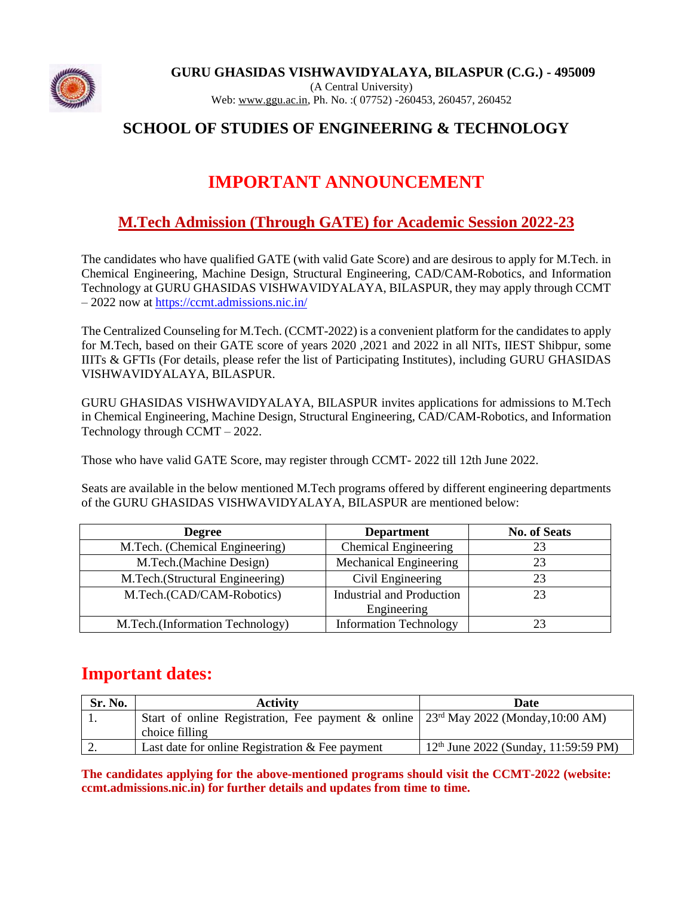

### **SCHOOL OF STUDIES OF ENGINEERING & TECHNOLOGY**

# **IMPORTANT ANNOUNCEMENT**

## **M.Tech Admission (Through GATE) for Academic Session 2022-23**

The candidates who have qualified GATE (with valid Gate Score) and are desirous to apply for M.Tech. in Chemical Engineering, Machine Design, Structural Engineering, CAD/CAM-Robotics, and Information Technology at GURU GHASIDAS VISHWAVIDYALAYA, BILASPUR, they may apply through CCMT – 2022 now at<https://ccmt.admissions.nic.in/>

The Centralized Counseling for M.Tech. (CCMT-2022) is a convenient platform for the candidates to apply for M.Tech, based on their GATE score of years 2020 ,2021 and 2022 in all NITs, IIEST Shibpur, some IIITs & GFTIs (For details, please refer the list of Participating Institutes), including GURU GHASIDAS VISHWAVIDYALAYA, BILASPUR.

GURU GHASIDAS VISHWAVIDYALAYA, BILASPUR invites applications for admissions to M.Tech in Chemical Engineering, Machine Design, Structural Engineering, CAD/CAM-Robotics, and Information Technology through CCMT – 2022.

Those who have valid GATE Score, may register through CCMT- 2022 till 12th June 2022.

Seats are available in the below mentioned M.Tech programs offered by different engineering departments of the GURU GHASIDAS VISHWAVIDYALAYA, BILASPUR are mentioned below:

| <b>Degree</b>                   | <b>Department</b>                | <b>No. of Seats</b> |
|---------------------------------|----------------------------------|---------------------|
| M.Tech. (Chemical Engineering)  | <b>Chemical Engineering</b>      |                     |
| M.Tech.(Machine Design)         | <b>Mechanical Engineering</b>    |                     |
| M.Tech.(Structural Engineering) | Civil Engineering                |                     |
| M.Tech.(CAD/CAM-Robotics)       | <b>Industrial and Production</b> | 23                  |
|                                 | Engineering                      |                     |
| M.Tech.(Information Technology) | <b>Information Technology</b>    |                     |

# **Important dates:**

| <b>Sr. No.</b> | Activity                                                                                        | Date                                   |  |  |
|----------------|-------------------------------------------------------------------------------------------------|----------------------------------------|--|--|
|                | Start of online Registration, Fee payment & online 23 <sup>rd</sup> May 2022 (Monday, 10:00 AM) |                                        |  |  |
|                | choice filling                                                                                  |                                        |  |  |
| <u>.</u>       | Last date for online Registration $&$ Fee payment                                               | $12th$ June 2022 (Sunday, 11:59:59 PM) |  |  |

**The candidates applying for the above-mentioned programs should visit the CCMT-2022 (website: ccmt.admissions.nic.in) for further details and updates from time to time.**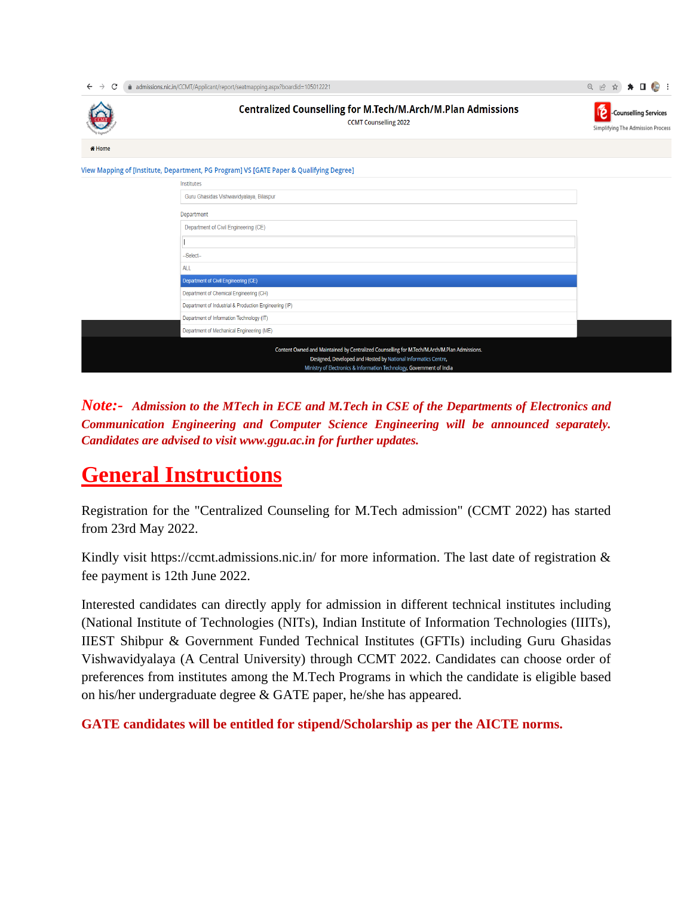| admissions.nic.in/CCMT/Applicant/report/seatmapping.aspx?boardid=105012221<br>C<br>$\leftarrow$                                                                                                                                         |                                                                                             | ★ □ 49 :<br>Q 12 ☆) |  |  |  |
|-----------------------------------------------------------------------------------------------------------------------------------------------------------------------------------------------------------------------------------------|---------------------------------------------------------------------------------------------|---------------------|--|--|--|
|                                                                                                                                                                                                                                         | Centralized Counselling for M.Tech/M.Arch/M.Plan Admissions<br><b>CCMT Counselling 2022</b> |                     |  |  |  |
| in Home                                                                                                                                                                                                                                 |                                                                                             |                     |  |  |  |
|                                                                                                                                                                                                                                         | View Mapping of [Institute, Department, PG Program] VS [GATE Paper & Qualifying Degree]     |                     |  |  |  |
|                                                                                                                                                                                                                                         | Institutes                                                                                  |                     |  |  |  |
| Guru Ghasidas Vishwavidyalaya, Bilaspur                                                                                                                                                                                                 |                                                                                             |                     |  |  |  |
|                                                                                                                                                                                                                                         | Department                                                                                  |                     |  |  |  |
|                                                                                                                                                                                                                                         | Department of Civil Engineering (CE)                                                        |                     |  |  |  |
|                                                                                                                                                                                                                                         |                                                                                             |                     |  |  |  |
|                                                                                                                                                                                                                                         | --Select--                                                                                  |                     |  |  |  |
| <b>ALL</b>                                                                                                                                                                                                                              |                                                                                             |                     |  |  |  |
| Department of Civil Engineering (CE)                                                                                                                                                                                                    |                                                                                             |                     |  |  |  |
|                                                                                                                                                                                                                                         | Department of Chemical Engineering (CH)                                                     |                     |  |  |  |
| Department of Industrial & Production Engineering (IP)                                                                                                                                                                                  |                                                                                             |                     |  |  |  |
|                                                                                                                                                                                                                                         | Department of Information Technology (IT)                                                   |                     |  |  |  |
|                                                                                                                                                                                                                                         | Department of Mechanical Engineering (ME)                                                   |                     |  |  |  |
| Content Owned and Maintained by Centralized Counselling for M.Tech/M.Arch/M.Plan Admissions.<br>Designed, Developed and Hosted by National Informatics Centre,<br>Ministry of Electronics & Information Technology, Government of India |                                                                                             |                     |  |  |  |

*Note:- Admission to the MTech in ECE and M.Tech in CSE of the Departments of Electronics and Communication Engineering and Computer Science Engineering will be announced separately. Candidates are advised to visit www.ggu.ac.in for further updates.*

# **General Instructions**

Registration for the "Centralized Counseling for M.Tech admission" (CCMT 2022) has started from 23rd May 2022.

Kindly visit https://ccmt.admissions.nic.in/ for more information. The last date of registration & fee payment is 12th June 2022.

Interested candidates can directly apply for admission in different technical institutes including (National Institute of Technologies (NITs), Indian Institute of Information Technologies (IIITs), IIEST Shibpur & Government Funded Technical Institutes (GFTIs) including Guru Ghasidas Vishwavidyalaya (A Central University) through CCMT 2022. Candidates can choose order of preferences from institutes among the M.Tech Programs in which the candidate is eligible based on his/her undergraduate degree & GATE paper, he/she has appeared.

**GATE candidates will be entitled for stipend/Scholarship as per the AICTE norms.**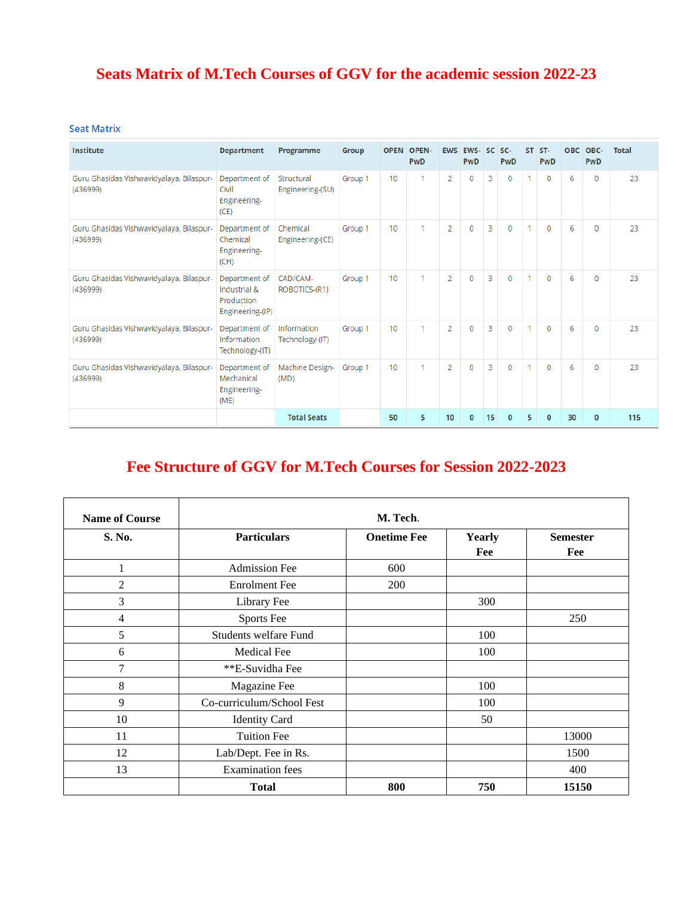# **Seats Matrix of M.Tech Courses of GGV for the academic session 2022-23**

#### **Seat Matrix**

| <b>Institute</b>                                     | <b>Department</b>                                               | Programme                      | Group   | <b>OPEN</b>     | <b>OPEN-</b><br>PwD | <b>EWS</b>     | EWS-<br>PwD    |    | SC SC-<br><b>PwD</b> | <b>ST</b> | ST-<br>PwD   | <b>OBC</b> | OBC-<br>PwD  | <b>Total</b> |
|------------------------------------------------------|-----------------------------------------------------------------|--------------------------------|---------|-----------------|---------------------|----------------|----------------|----|----------------------|-----------|--------------|------------|--------------|--------------|
| Guru Ghasidas Vishwavidyalaya, Bilaspur-<br>(436999) | Department of<br>Civil<br>Engineering-<br>(CE)                  | Structural<br>Engineering-(SU) | Group 1 | 10 <sup>1</sup> |                     | $\overline{2}$ | 0              | 3  | $\mathbf 0$          |           | $\mathbf 0$  | 6          | $\Omega$     | 23           |
| Guru Ghasidas Vishwavidyalaya, Bilaspur-<br>(436999) | Department of<br>Chemical<br>Engineering-<br>(CH)               | Chemical<br>Engineering-(CE)   | Group 1 | 10              |                     | $\overline{2}$ | $\mathbf{0}$   | 3  | $\mathbf{0}$         | 1         | $\mathbf{0}$ | 6          | $\Omega$     | 23           |
| Guru Ghasidas Vishwavidyalaya, Bilaspur-<br>(436999) | Department of<br>Industrial &<br>Production<br>Engineering-(IP) | CAD/CAM-<br>ROBOTICS-(R1)      | Group 1 | 10 <sup>1</sup> |                     | $\overline{2}$ | $\overline{0}$ | 3  | $\mathbf 0$          | 1         | $\mathbf 0$  | 6          | $\mathbf 0$  | 23           |
| Guru Ghasidas Vishwavidyalaya, Bilaspur-<br>(436999) | Department of<br>Information<br>Technology-(IT)                 | Information<br>Technology-(IT) | Group 1 | 10              |                     | 2              | 0              | 3  | 0                    | 1         | $\mathbf 0$  | 6          | $\Omega$     | 23           |
| Guru Ghasidas Vishwavidyalaya, Bilaspur-<br>(436999) | Department of<br>Mechanical<br>Engineering-<br>(ME)             | Machine Design-<br>(MD)        | Group 1 | 10              |                     | $\overline{2}$ | $\Omega$       | 3  | $\Omega$             | 1         | $\Omega$     | 6          | $\Omega$     | 23           |
|                                                      |                                                                 | <b>Total Seats</b>             |         | 50              | 5                   | 10             | $\mathbf{0}$   | 15 | $\mathbf{0}$         | 5         | $\Omega$     | 30         | $\mathbf{0}$ | 115          |

## **Fee Structure of GGV for M.Tech Courses for Session 2022-2023**

| <b>Name of Course</b> |                           | M. Tech.           |               |                        |
|-----------------------|---------------------------|--------------------|---------------|------------------------|
| S. No.                | <b>Particulars</b>        | <b>Onetime Fee</b> | Yearly<br>Fee | <b>Semester</b><br>Fee |
| $\mathbf{1}$          | <b>Admission Fee</b>      | 600                |               |                        |
| $\overline{c}$        | <b>Enrolment</b> Fee      | 200                |               |                        |
| 3                     | Library Fee               |                    | 300           |                        |
| $\overline{4}$        | <b>Sports Fee</b>         |                    |               | 250                    |
| 5                     | Students welfare Fund     |                    | 100           |                        |
| 6                     | Medical Fee               |                    | 100           |                        |
| $\overline{7}$        | **E-Suvidha Fee           |                    |               |                        |
| 8                     | Magazine Fee              |                    | 100           |                        |
| 9                     | Co-curriculum/School Fest |                    | 100           |                        |
| 10                    | <b>Identity Card</b>      |                    | 50            |                        |
| 11                    | <b>Tuition Fee</b>        |                    |               | 13000                  |
| 12                    | Lab/Dept. Fee in Rs.      |                    |               | 1500                   |
| 13                    | <b>Examination</b> fees   |                    |               | 400                    |
|                       | <b>Total</b>              | 800                | 750           | 15150                  |